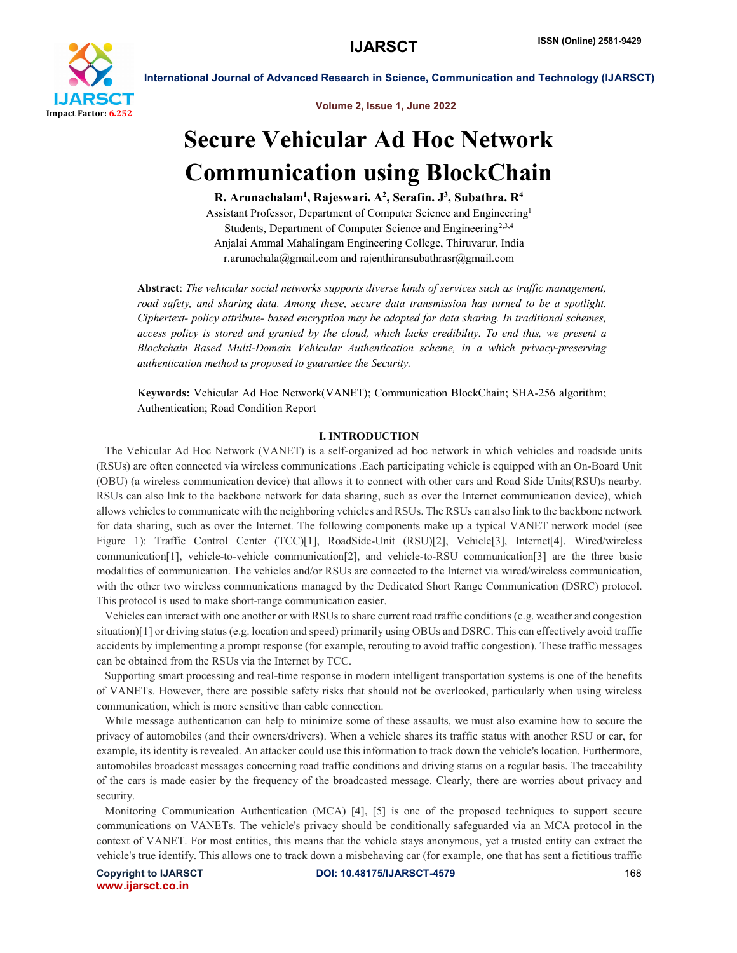

Volume 2, Issue 1, June 2022

# Secure Vehicular Ad Hoc Network Communication using BlockChain

R. Arunachalam<sup>1</sup>, Rajeswari. A<sup>2</sup>, Serafin. J<sup>3</sup>, Subathra. R<sup>4</sup>

Assistant Professor, Department of Computer Science and Engineering1 Students, Department of Computer Science and Engineering<sup>2,3,4</sup> Anjalai Ammal Mahalingam Engineering College, Thiruvarur, India r.arunachala@gmail.com and rajenthiransubathrasr@gmail.com

Abstract: *The vehicular social networks supports diverse kinds of services such as traffic management, road safety, and sharing data. Among these, secure data transmission has turned to be a spotlight. Ciphertext- policy attribute- based encryption may be adopted for data sharing. In traditional schemes, access policy is stored and granted by the cloud, which lacks credibility. To end this, we present a Blockchain Based Multi-Domain Vehicular Authentication scheme, in a which privacy-preserving authentication method is proposed to guarantee the Security.*

Keywords: Vehicular Ad Hoc Network(VANET); Communication BlockChain; SHA-256 algorithm; Authentication; Road Condition Report

# I. INTRODUCTION

 The Vehicular Ad Hoc Network (VANET) is a self-organized ad hoc network in which vehicles and roadside units (RSUs) are often connected via wireless communications .Each participating vehicle is equipped with an On-Board Unit (OBU) (a wireless communication device) that allows it to connect with other cars and Road Side Units(RSU)s nearby. RSUs can also link to the backbone network for data sharing, such as over the Internet communication device), which allows vehicles to communicate with the neighboring vehicles and RSUs. The RSUs can also link to the backbone network for data sharing, such as over the Internet. The following components make up a typical VANET network model (see Figure 1): Traffic Control Center (TCC)[1], RoadSide-Unit (RSU)[2], Vehicle[3], Internet[4]. Wired/wireless communication[1], vehicle-to-vehicle communication[2], and vehicle-to-RSU communication[3] are the three basic modalities of communication. The vehicles and/or RSUs are connected to the Internet via wired/wireless communication, with the other two wireless communications managed by the Dedicated Short Range Communication (DSRC) protocol. This protocol is used to make short-range communication easier.

 Vehicles can interact with one another or with RSUs to share current road traffic conditions (e.g. weather and congestion situation)[1] or driving status (e.g. location and speed) primarily using OBUs and DSRC. This can effectively avoid traffic accidents by implementing a prompt response (for example, rerouting to avoid traffic congestion). These traffic messages can be obtained from the RSUs via the Internet by TCC.

 Supporting smart processing and real-time response in modern intelligent transportation systems is one of the benefits of VANETs. However, there are possible safety risks that should not be overlooked, particularly when using wireless communication, which is more sensitive than cable connection.

 While message authentication can help to minimize some of these assaults, we must also examine how to secure the privacy of automobiles (and their owners/drivers). When a vehicle shares its traffic status with another RSU or car, for example, its identity is revealed. An attacker could use this information to track down the vehicle's location. Furthermore, automobiles broadcast messages concerning road traffic conditions and driving status on a regular basis. The traceability of the cars is made easier by the frequency of the broadcasted message. Clearly, there are worries about privacy and security.

 Monitoring Communication Authentication (MCA) [4], [5] is one of the proposed techniques to support secure communications on VANETs. The vehicle's privacy should be conditionally safeguarded via an MCA protocol in the context of VANET. For most entities, this means that the vehicle stays anonymous, yet a trusted entity can extract the vehicle's true identify. This allows one to track down a misbehaving car (for example, one that has sent a fictitious traffic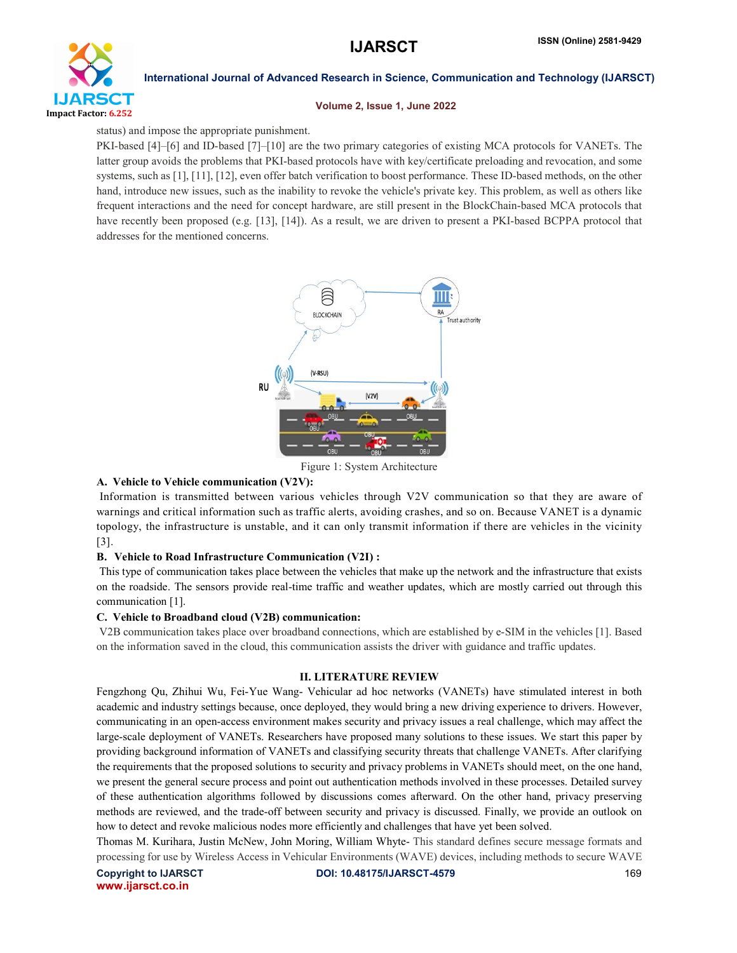

### Volume 2, Issue 1, June 2022

status) and impose the appropriate punishment.

PKI-based [4]–[6] and ID-based [7]–[10] are the two primary categories of existing MCA protocols for VANETs. The latter group avoids the problems that PKI-based protocols have with key/certificate preloading and revocation, and some systems, such as [1], [11], [12], even offer batch verification to boost performance. These ID-based methods, on the other hand, introduce new issues, such as the inability to revoke the vehicle's private key. This problem, as well as others like frequent interactions and the need for concept hardware, are still present in the BlockChain-based MCA protocols that have recently been proposed (e.g. [13], [14]). As a result, we are driven to present a PKI-based BCPPA protocol that addresses for the mentioned concerns.



Figure 1: System Architecture

# A. Vehicle to Vehicle communication (V2V):

Information is transmitted between various vehicles through V2V communication so that they are aware of warnings and critical information such as traffic alerts, avoiding crashes, and so on. Because VANET is a dynamic topology, the infrastructure is unstable, and it can only transmit information if there are vehicles in the vicinity [3].

# B. Vehicle to Road Infrastructure Communication (V2I) :

This type of communication takes place between the vehicles that make up the network and the infrastructure that exists on the roadside. The sensors provide real-time traffic and weather updates, which are mostly carried out through this communication [1].

# C. Vehicle to Broadband cloud (V2B) communication:

V2B communication takes place over broadband connections, which are established by e-SIM in the vehicles [1]. Based on the information saved in the cloud, this communication assists the driver with guidance and traffic updates.

# II. LITERATURE REVIEW

Fengzhong Qu, Zhihui Wu, Fei-Yue Wang- Vehicular ad hoc networks (VANETs) have stimulated interest in both academic and industry settings because, once deployed, they would bring a new driving experience to drivers. However, communicating in an open-access environment makes security and privacy issues a real challenge, which may affect the large-scale deployment of VANETs. Researchers have proposed many solutions to these issues. We start this paper by providing background information of VANETs and classifying security threats that challenge VANETs. After clarifying the requirements that the proposed solutions to security and privacy problems in VANETs should meet, on the one hand, we present the general secure process and point out authentication methods involved in these processes. Detailed survey of these authentication algorithms followed by discussions comes afterward. On the other hand, privacy preserving methods are reviewed, and the trade-off between security and privacy is discussed. Finally, we provide an outlook on how to detect and revoke malicious nodes more efficiently and challenges that have yet been solved.

Thomas M. Kurihara, Justin McNew, John Moring, William Whyte- This standard defines secure message formats and processing for use by Wireless Access in Vehicular Environments (WAVE) devices, including methods to secure WAVE

www.ijarsct.co.in

Copyright to IJARSCT **DOI: 10.48175/IJARSCT-4579** 169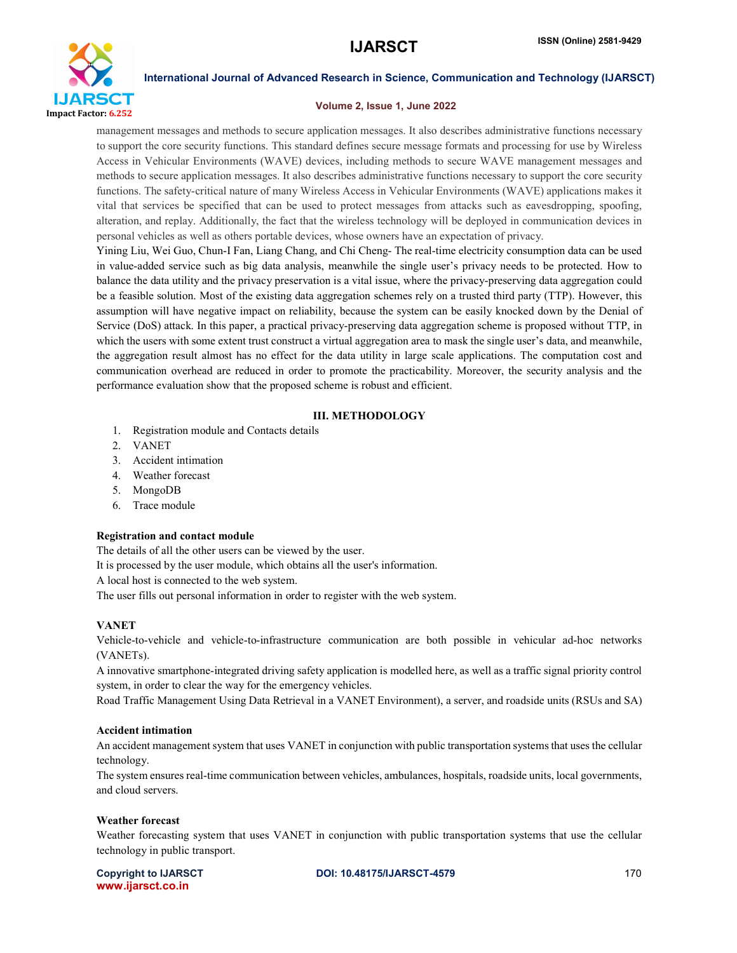

# Volume 2, Issue 1, June 2022

management messages and methods to secure application messages. It also describes administrative functions necessary to support the core security functions. This standard defines secure message formats and processing for use by Wireless Access in Vehicular Environments (WAVE) devices, including methods to secure WAVE management messages and methods to secure application messages. It also describes administrative functions necessary to support the core security functions. The safety-critical nature of many Wireless Access in Vehicular Environments (WAVE) applications makes it vital that services be specified that can be used to protect messages from attacks such as eavesdropping, spoofing, alteration, and replay. Additionally, the fact that the wireless technology will be deployed in communication devices in personal vehicles as well as others portable devices, whose owners have an expectation of privacy.

Yining Liu, Wei Guo, Chun-I Fan, Liang Chang, and Chi Cheng- The real-time electricity consumption data can be used in value-added service such as big data analysis, meanwhile the single user's privacy needs to be protected. How to balance the data utility and the privacy preservation is a vital issue, where the privacy-preserving data aggregation could be a feasible solution. Most of the existing data aggregation schemes rely on a trusted third party (TTP). However, this assumption will have negative impact on reliability, because the system can be easily knocked down by the Denial of Service (DoS) attack. In this paper, a practical privacy-preserving data aggregation scheme is proposed without TTP, in which the users with some extent trust construct a virtual aggregation area to mask the single user's data, and meanwhile, the aggregation result almost has no effect for the data utility in large scale applications. The computation cost and communication overhead are reduced in order to promote the practicability. Moreover, the security analysis and the performance evaluation show that the proposed scheme is robust and efficient.

# III. METHODOLOGY

- 1. Registration module and Contacts details
- 2. VANET
- 3. Accident intimation
- 4. Weather forecast
- 5. MongoDB
- 6. Trace module

# Registration and contact module

The details of all the other users can be viewed by the user.

It is processed by the user module, which obtains all the user's information.

A local host is connected to the web system.

The user fills out personal information in order to register with the web system.

# VANET

Vehicle-to-vehicle and vehicle-to-infrastructure communication are both possible in vehicular ad-hoc networks (VANETs).

A innovative smartphone-integrated driving safety application is modelled here, as well as a traffic signal priority control system, in order to clear the way for the emergency vehicles.

Road Traffic Management Using Data Retrieval in a VANET Environment), a server, and roadside units (RSUs and SA)

# Accident intimation

An accident management system that uses VANET in conjunction with public transportation systems that uses the cellular technology.

The system ensures real-time communication between vehicles, ambulances, hospitals, roadside units, local governments, and cloud servers.

# Weather forecast

Weather forecasting system that uses VANET in conjunction with public transportation systems that use the cellular technology in public transport.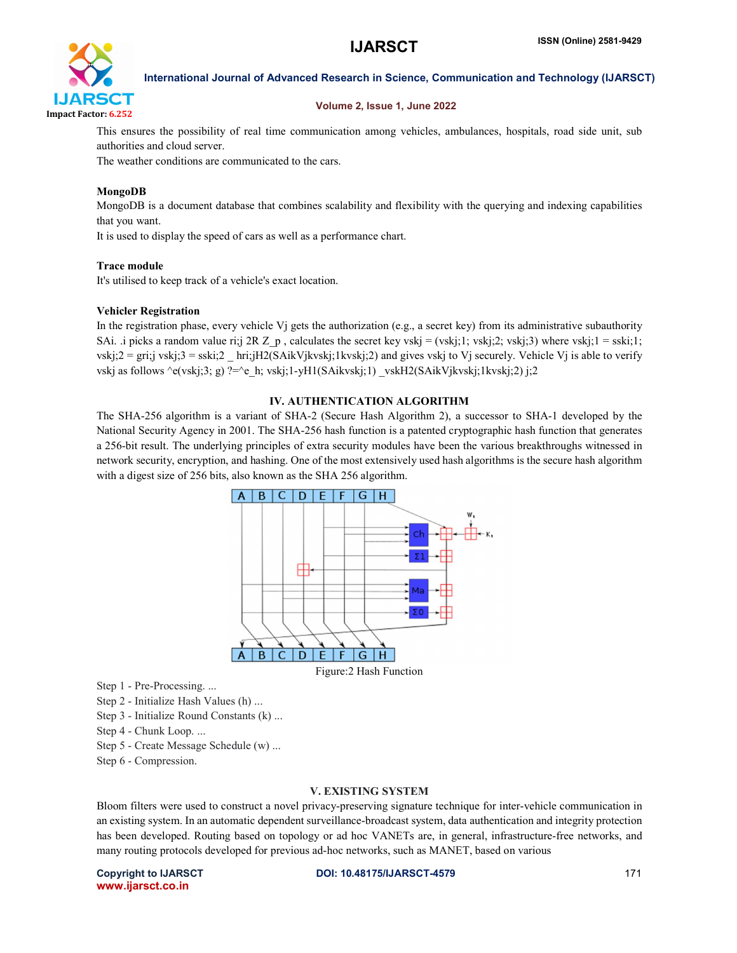

# Volume 2, Issue 1, June 2022

This ensures the possibility of real time communication among vehicles, ambulances, hospitals, road side unit, sub authorities and cloud server.

The weather conditions are communicated to the cars.

# MongoDB

MongoDB is a document database that combines scalability and flexibility with the querying and indexing capabilities that you want.

It is used to display the speed of cars as well as a performance chart.

# Trace module

It's utilised to keep track of a vehicle's exact location.

### Vehicler Registration

In the registration phase, every vehicle Vj gets the authorization (e.g., a secret key) from its administrative subauthority SAi. .i picks a random value ri;j 2R Z\_p , calculates the secret key vskj = (vskj;1; vskj;2; vskj;3) where vskj;1 = sski;1; vskj;2 = gri;j vskj;3 = sski;2 \_ hri;jH2(SAikVjkvskj;1kvskj;2) and gives vskj to Vj securely. Vehicle Vj is able to verify vskj as follows  $\text{e}(v\text{skj};3; g)$  ?= $\text{e}$  h; vskj;1-yH1(SAikvskj;1) vskH2(SAikVjkvskj;1kvskj;2) j;2

# IV. AUTHENTICATION ALGORITHM

The SHA-256 algorithm is a variant of SHA-2 (Secure Hash Algorithm 2), a successor to SHA-1 developed by the National Security Agency in 2001. The SHA-256 hash function is a patented cryptographic hash function that generates a 256-bit result. The underlying principles of extra security modules have been the various breakthroughs witnessed in network security, encryption, and hashing. One of the most extensively used hash algorithms is the secure hash algorithm with a digest size of 256 bits, also known as the SHA 256 algorithm.



Step 1 - Pre-Processing. ...

Step 2 - Initialize Hash Values (h) ...

Step 3 - Initialize Round Constants (k) ...

Step 4 - Chunk Loop. ...

Step 5 - Create Message Schedule (w) ...

Step 6 - Compression.

# V. EXISTING SYSTEM

Bloom filters were used to construct a novel privacy-preserving signature technique for inter-vehicle communication in an existing system. In an automatic dependent surveillance-broadcast system, data authentication and integrity protection has been developed. Routing based on topology or ad hoc VANETs are, in general, infrastructure-free networks, and many routing protocols developed for previous ad-hoc networks, such as MANET, based on various

www.ijarsct.co.in

Copyright to IJARSCT **DOI: 10.48175/IJARSCT-4579** 171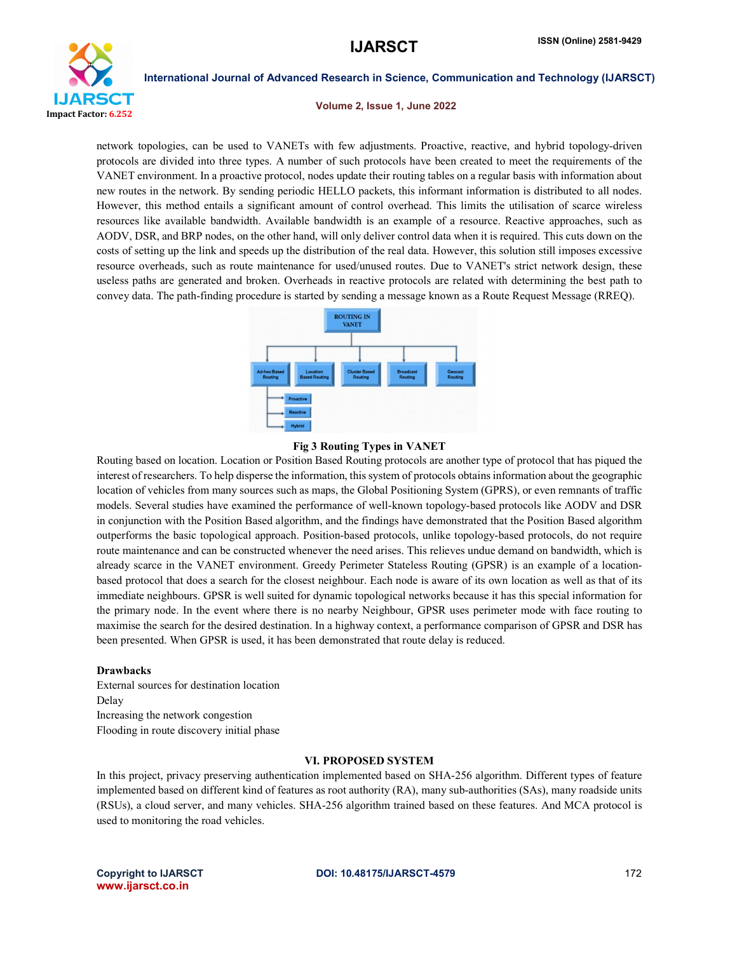

Volume 2, Issue 1, June 2022

network topologies, can be used to VANETs with few adjustments. Proactive, reactive, and hybrid topology-driven protocols are divided into three types. A number of such protocols have been created to meet the requirements of the VANET environment. In a proactive protocol, nodes update their routing tables on a regular basis with information about new routes in the network. By sending periodic HELLO packets, this informant information is distributed to all nodes. However, this method entails a significant amount of control overhead. This limits the utilisation of scarce wireless resources like available bandwidth. Available bandwidth is an example of a resource. Reactive approaches, such as AODV, DSR, and BRP nodes, on the other hand, will only deliver control data when it is required. This cuts down on the costs of setting up the link and speeds up the distribution of the real data. However, this solution still imposes excessive resource overheads, such as route maintenance for used/unused routes. Due to VANET's strict network design, these useless paths are generated and broken. Overheads in reactive protocols are related with determining the best path to convey data. The path-finding procedure is started by sending a message known as a Route Request Message (RREQ).



### Fig 3 Routing Types in VANET

Routing based on location. Location or Position Based Routing protocols are another type of protocol that has piqued the interest of researchers. To help disperse the information, this system of protocols obtains information about the geographic location of vehicles from many sources such as maps, the Global Positioning System (GPRS), or even remnants of traffic models. Several studies have examined the performance of well-known topology-based protocols like AODV and DSR in conjunction with the Position Based algorithm, and the findings have demonstrated that the Position Based algorithm outperforms the basic topological approach. Position-based protocols, unlike topology-based protocols, do not require route maintenance and can be constructed whenever the need arises. This relieves undue demand on bandwidth, which is already scarce in the VANET environment. Greedy Perimeter Stateless Routing (GPSR) is an example of a locationbased protocol that does a search for the closest neighbour. Each node is aware of its own location as well as that of its immediate neighbours. GPSR is well suited for dynamic topological networks because it has this special information for the primary node. In the event where there is no nearby Neighbour, GPSR uses perimeter mode with face routing to maximise the search for the desired destination. In a highway context, a performance comparison of GPSR and DSR has been presented. When GPSR is used, it has been demonstrated that route delay is reduced.

### Drawbacks

External sources for destination location Delay Increasing the network congestion Flooding in route discovery initial phase

### VI. PROPOSED SYSTEM

In this project, privacy preserving authentication implemented based on SHA-256 algorithm. Different types of feature implemented based on different kind of features as root authority (RA), many sub-authorities (SAs), many roadside units (RSUs), a cloud server, and many vehicles. SHA-256 algorithm trained based on these features. And MCA protocol is used to monitoring the road vehicles.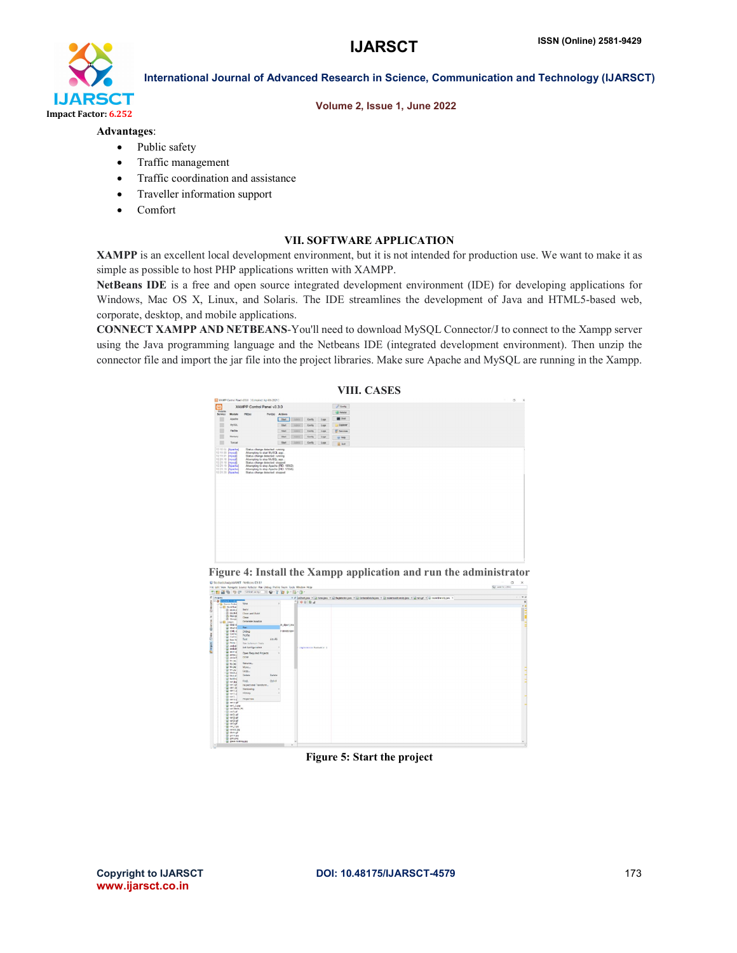

# Volume 2, Issue 1, June 2022

### Advantages:

- Public safety
- Traffic management
- Traffic coordination and assistance
- Traveller information support
- Comfort

# VII. SOFTWARE APPLICATION

XAMPP is an excellent local development environment, but it is not intended for production use. We want to make it as simple as possible to host PHP applications written with XAMPP.

NetBeans IDE is a free and open source integrated development environment (IDE) for developing applications for Windows, Mac OS X, Linux, and Solaris. The IDE streamlines the development of Java and HTML5-based web, corporate, desktop, and mobile applications.

CONNECT XAMPP AND NETBEANS-You'll need to download MySQL Connector/J to connect to the Xampp server using the Java programming language and the Netbeans IDE (integrated development environment). Then unzip the connector file and import the jar file into the project libraries. Make sure Apache and MySQL are running in the Xampp.



Figure 4: Install the Xampp application and run the administrator



Figure 5: Start the project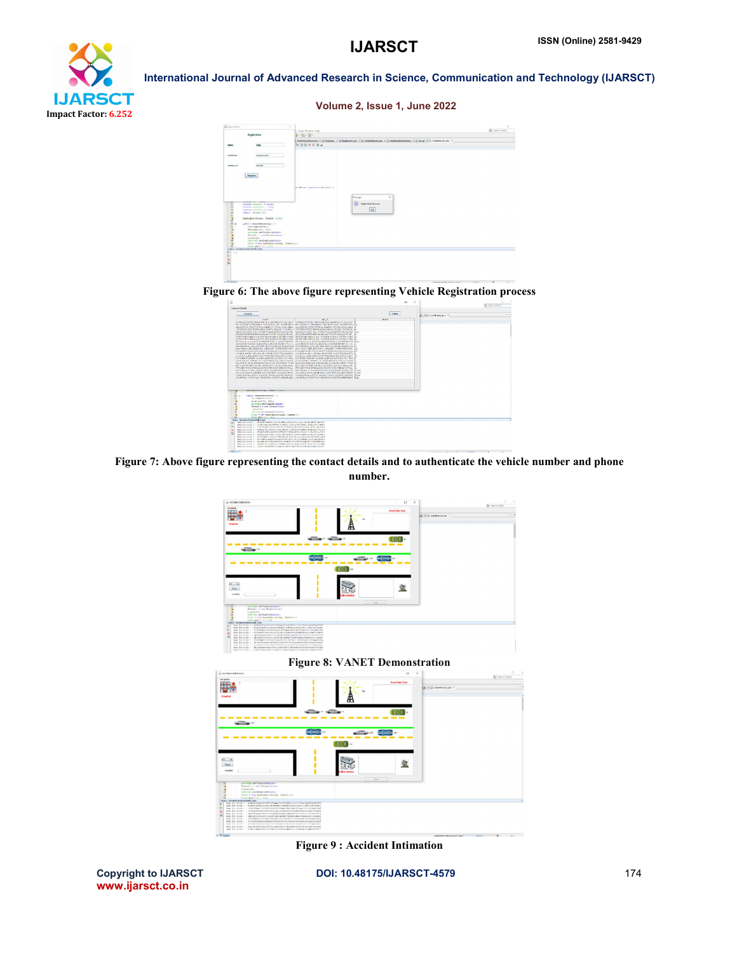



Figure 6: The above figure representing Vehicle Registration process



Figure 7: Above figure representing the contact details and to authenticate the vehicle number and phone number.



Figure 8: VANET Demonstration



Figure 9 : Accident Intimation

www.ijarsct.co.in

Copyright to IJARSCT **DOI: 10.48175/IJARSCT-4579** 174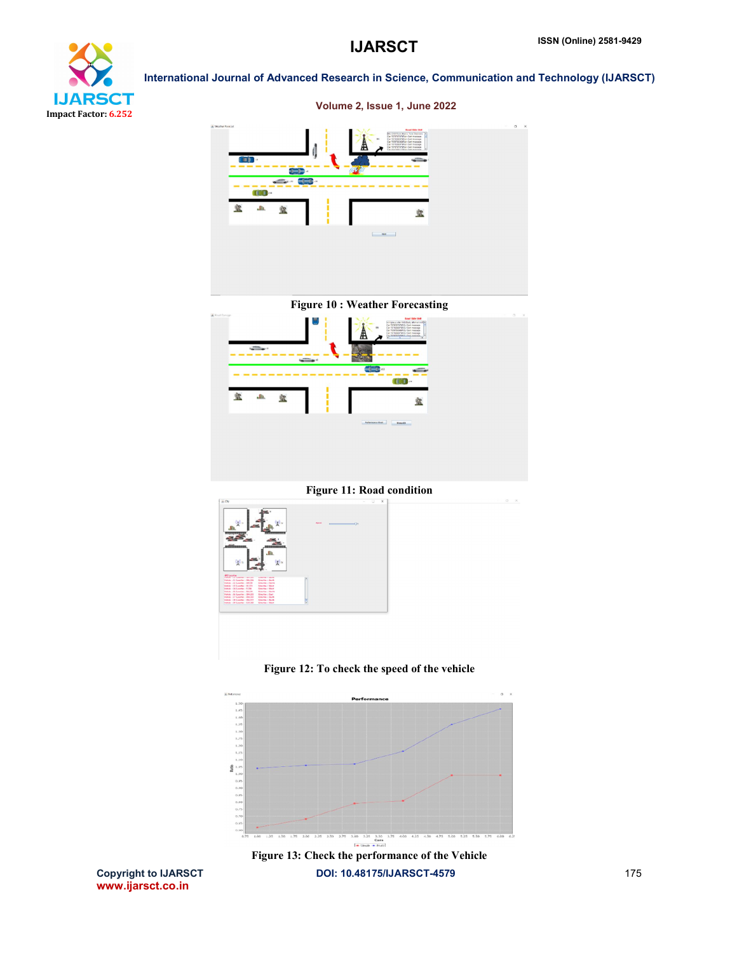



Figure 11: Road condition



Figure 12: To check the speed of the vehicle

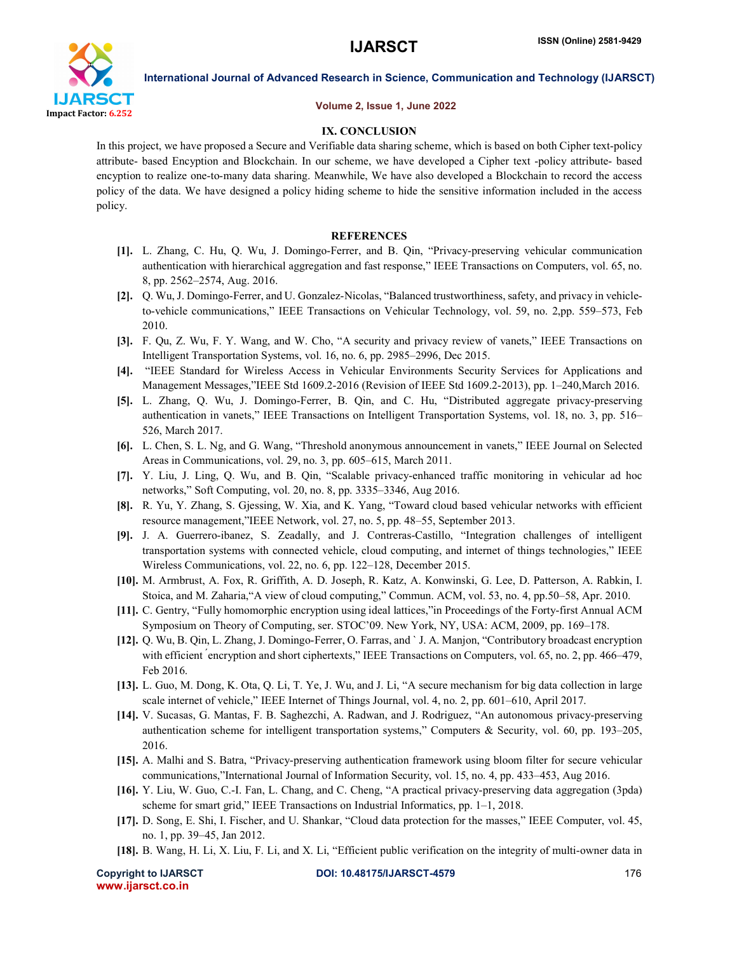

### Volume 2, Issue 1, June 2022

# IX. CONCLUSION

In this project, we have proposed a Secure and Verifiable data sharing scheme, which is based on both Cipher text-policy attribute- based Encyption and Blockchain. In our scheme, we have developed a Cipher text -policy attribute- based encyption to realize one-to-many data sharing. Meanwhile, We have also developed a Blockchain to record the access policy of the data. We have designed a policy hiding scheme to hide the sensitive information included in the access policy.

### **REFERENCES**

- [1]. L. Zhang, C. Hu, Q. Wu, J. Domingo-Ferrer, and B. Qin, "Privacy-preserving vehicular communication authentication with hierarchical aggregation and fast response," IEEE Transactions on Computers, vol. 65, no. 8, pp. 2562–2574, Aug. 2016.
- [2]. Q. Wu, J. Domingo-Ferrer, and U. Gonzalez-Nicolas, "Balanced trustworthiness, safety, and privacy in vehicleto-vehicle communications," IEEE Transactions on Vehicular Technology, vol. 59, no. 2,pp. 559–573, Feb 2010.
- [3]. F. Qu, Z. Wu, F. Y. Wang, and W. Cho, "A security and privacy review of vanets," IEEE Transactions on Intelligent Transportation Systems, vol. 16, no. 6, pp. 2985–2996, Dec 2015.
- [4]. "IEEE Standard for Wireless Access in Vehicular Environments Security Services for Applications and Management Messages,"IEEE Std 1609.2-2016 (Revision of IEEE Std 1609.2-2013), pp. 1–240,March 2016.
- [5]. L. Zhang, Q. Wu, J. Domingo-Ferrer, B. Qin, and C. Hu, "Distributed aggregate privacy-preserving authentication in vanets," IEEE Transactions on Intelligent Transportation Systems, vol. 18, no. 3, pp. 516– 526, March 2017.
- [6]. L. Chen, S. L. Ng, and G. Wang, "Threshold anonymous announcement in vanets," IEEE Journal on Selected Areas in Communications, vol. 29, no. 3, pp. 605–615, March 2011.
- [7]. Y. Liu, J. Ling, Q. Wu, and B. Qin, "Scalable privacy-enhanced traffic monitoring in vehicular ad hoc networks," Soft Computing, vol. 20, no. 8, pp. 3335–3346, Aug 2016.
- [8]. R. Yu, Y. Zhang, S. Gjessing, W. Xia, and K. Yang, "Toward cloud based vehicular networks with efficient resource management,"IEEE Network, vol. 27, no. 5, pp. 48–55, September 2013.
- [9]. J. A. Guerrero-ibanez, S. Zeadally, and J. Contreras-Castillo, "Integration challenges of intelligent transportation systems with connected vehicle, cloud computing, and internet of things technologies," IEEE Wireless Communications, vol. 22, no. 6, pp. 122–128, December 2015.
- [10]. M. Armbrust, A. Fox, R. Griffith, A. D. Joseph, R. Katz, A. Konwinski, G. Lee, D. Patterson, A. Rabkin, I. Stoica, and M. Zaharia,"A view of cloud computing," Commun. ACM, vol. 53, no. 4, pp.50–58, Apr. 2010.
- [11]. C. Gentry, "Fully homomorphic encryption using ideal lattices,"in Proceedings of the Forty-first Annual ACM Symposium on Theory of Computing, ser. STOC'09. New York, NY, USA: ACM, 2009, pp. 169–178.
- [12]. Q. Wu, B. Qin, L. Zhang, J. Domingo-Ferrer, O. Farras, and ` J. A. Manjon, "Contributory broadcast encryption with efficient <sup>*e*</sup>ncryption and short ciphertexts," IEEE Transactions on Computers, vol. 65, no. 2, pp. 466–479, Feb 2016.
- [13]. L. Guo, M. Dong, K. Ota, Q. Li, T. Ye, J. Wu, and J. Li, "A secure mechanism for big data collection in large scale internet of vehicle," IEEE Internet of Things Journal, vol. 4, no. 2, pp. 601–610, April 2017.
- [14]. V. Sucasas, G. Mantas, F. B. Saghezchi, A. Radwan, and J. Rodriguez, "An autonomous privacy-preserving authentication scheme for intelligent transportation systems," Computers & Security, vol. 60, pp. 193–205, 2016.
- [15]. A. Malhi and S. Batra, "Privacy-preserving authentication framework using bloom filter for secure vehicular communications,"International Journal of Information Security, vol. 15, no. 4, pp. 433–453, Aug 2016.
- [16]. Y. Liu, W. Guo, C.-I. Fan, L. Chang, and C. Cheng, "A practical privacy-preserving data aggregation (3pda) scheme for smart grid," IEEE Transactions on Industrial Informatics, pp. 1–1, 2018.
- [17]. D. Song, E. Shi, I. Fischer, and U. Shankar, "Cloud data protection for the masses," IEEE Computer, vol. 45, no. 1, pp. 39–45, Jan 2012.
- [18]. B. Wang, H. Li, X. Liu, F. Li, and X. Li, "Efficient public verification on the integrity of multi-owner data in